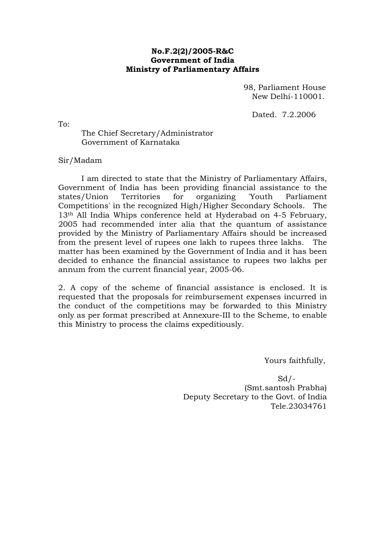#### **No.F.2(2)/2005-R&C Government of India Ministry of Parliamentary Affairs**

 98, Parliament House New Delhi-110001.

Dated. 7.2.2006

To:

 The Chief Secretary/Administrator Government of Karnataka

Sir/Madam

 I am directed to state that the Ministry of Parliamentary Affairs, Government of India has been providing financial assistance to the states/Union Territories for organizing 'Youth Parliament Competitions' in the recognized High/Higher Secondary Schools. The 13th All India Whips conference held at Hyderabad on 4-5 February, 2005 had recommended inter alia that the quantum of assistance provided by the Ministry of Parliamentary Affairs should be increased from the present level of rupees one lakh to rupees three lakhs. The matter has been examined by the Government of India and it has been decided to enhance the financial assistance to rupees two lakhs per annum from the current financial year, 2005-06.

2. A copy of the scheme of financial assistance is enclosed. It is requested that the proposals for reimbursement expenses incurred in the conduct of the competitions may be forwarded to this Ministry only as per format prescribed at Annexure-III to the Scheme, to enable this Ministry to process the claims expeditiously.

Yours faithfully,

 $Sd$  /  $-$  (Smt.santosh Prabha) Deputy Secretary to the Govt. of India Tele.23034761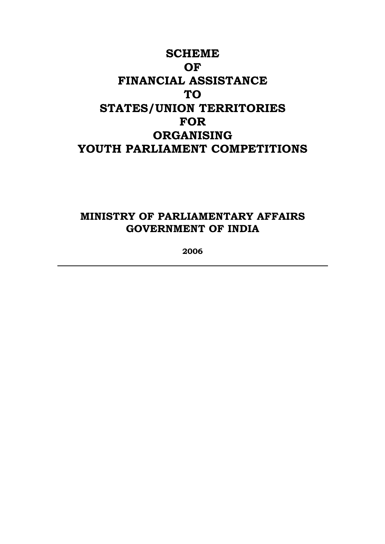# **SCHEME OF FINANCIAL ASSISTANCE TO STATES/UNION TERRITORIES FOR ORGANISING YOUTH PARLIAMENT COMPETITIONS**

# **MINISTRY OF PARLIAMENTARY AFFAIRS GOVERNMENT OF INDIA**

**2006**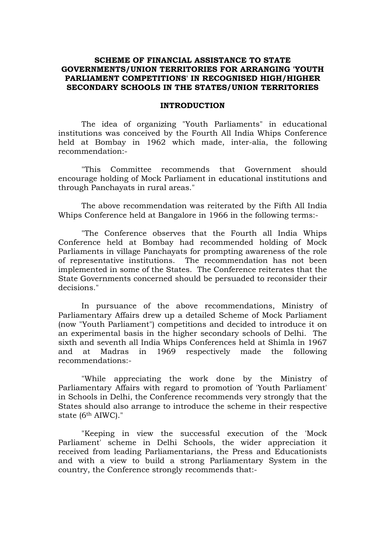#### **SCHEME OF FINANCIAL ASSISTANCE TO STATE GOVERNMENTS/UNION TERRITORIES FOR ARRANGING 'YOUTH PARLIAMENT COMPETITIONS' IN RECOGNISED HIGH/HIGHER SECONDARY SCHOOLS IN THE STATES/UNION TERRITORIES**

#### **INTRODUCTION**

The idea of organizing "Youth Parliaments" in educational institutions was conceived by the Fourth All India Whips Conference held at Bombay in 1962 which made, inter-alia, the following recommendation:-

"This Committee recommends that Government should encourage holding of Mock Parliament in educational institutions and through Panchayats in rural areas."

The above recommendation was reiterated by the Fifth All India Whips Conference held at Bangalore in 1966 in the following terms:-

"The Conference observes that the Fourth all India Whips Conference held at Bombay had recommended holding of Mock Parliaments in village Panchayats for prompting awareness of the role of representative institutions. The recommendation has not been implemented in some of the States. The Conference reiterates that the State Governments concerned should be persuaded to reconsider their decisions."

In pursuance of the above recommendations, Ministry of Parliamentary Affairs drew up a detailed Scheme of Mock Parliament (now "Youth Parliament") competitions and decided to introduce it on an experimental basis in the higher secondary schools of Delhi. The sixth and seventh all India Whips Conferences held at Shimla in 1967 and at Madras in 1969 respectively made the following recommendations:-

"While appreciating the work done by the Ministry of Parliamentary Affairs with regard to promotion of 'Youth Parliament' in Schools in Delhi, the Conference recommends very strongly that the States should also arrange to introduce the scheme in their respective state (6th AIWC)."

"Keeping in view the successful execution of the 'Mock Parliament' scheme in Delhi Schools, the wider appreciation it received from leading Parliamentarians, the Press and Educationists and with a view to build a strong Parliamentary System in the country, the Conference strongly recommends that:-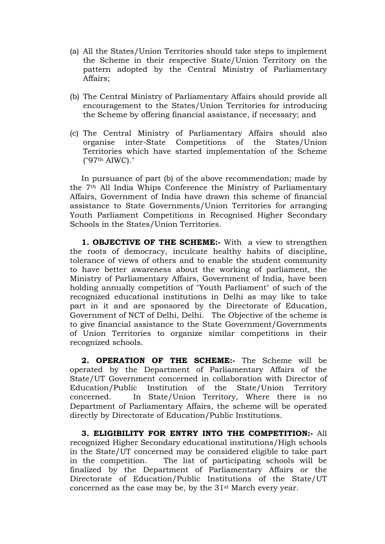- (a) All the States/Union Territories should take steps to implement the Scheme in their respective State/Union Territory on the pattern adopted by the Central Ministry of Parliamentary Affairs;
- (b) The Central Ministry of Parliamentary Affairs should provide all encouragement to the States/Union Territories for introducing the Scheme by offering financial assistance, if necessary; and
- (c) The Central Ministry of Parliamentary Affairs should also organise inter-State Competitions of the States/Union Territories which have started implementation of the Scheme ("97th AIWC)."

In pursuance of part (b) of the above recommendation; made by the 7th All India Whips Conference the Ministry of Parliamentary Affairs, Government of India have drawn this scheme of financial assistance to State Governments/Union Territories for arranging Youth Parliament Competitions in Recognised Higher Secondary Schools in the States/Union Territories.

**1. OBJECTIVE OF THE SCHEME:**- With a view to strengthen the roots of democracy, inculcate healthy habits of discipline, tolerance of views of others and to enable the student community to have better awareness about the working of parliament, the Ministry of Parliamentary Affairs, Government of India, have been holding annually competition of "Youth Parliament" of such of the recognized educational institutions in Delhi as may like to take part in it and are sponsored by the Directorate of Education, Government of NCT of Delhi, Delhi. The Objective of the scheme is to give financial assistance to the State Government/Governments of Union Territories to organize similar competitions in their recognized schools.

**2. OPERATION OF THE SCHEME:-** The Scheme will be operated by the Department of Parliamentary Affairs of the State/UT Government concerned in collaboration with Director of Education/Public Institution of the State/Union Territory concerned. In State/Union Territory, Where there is no Department of Parliamentary Affairs, the scheme will be operated directly by Directorate of Education/Public Institutions.

**3. ELIGIBILITY FOR ENTRY INTO THE COMPETITION:-** All recognized Higher Secondary educational institutions/High schools in the State/UT concerned may be considered eligible to take part in the competition. The list of participating schools will be finalized by the Department of Parliamentary Affairs or the Directorate of Education/Public Institutions of the State/UT concerned as the case may be, by the 31st March every year.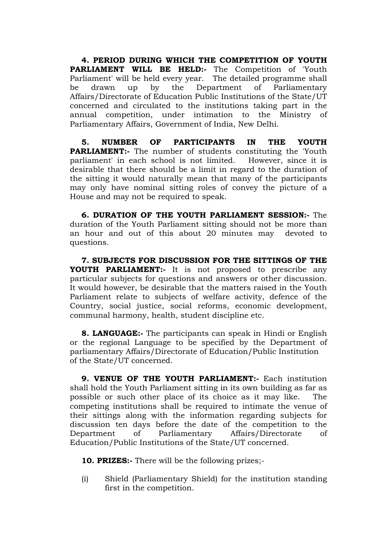**4. PERIOD DURING WHICH THE COMPETITION OF YOUTH PARLIAMENT WILL BE HELD:-** The Competition of 'Youth Parliament' will be held every year. The detailed programme shall be drawn up by the Department of Parliamentary Affairs/Directorate of Education Public Institutions of the State/UT concerned and circulated to the institutions taking part in the annual competition, under intimation to the Ministry of Parliamentary Affairs, Government of India, New Delhi.

**5. NUMBER OF PARTICIPANTS IN THE YOUTH PARLIAMENT:-** The number of students constituting the 'Youth parliament' in each school is not limited. However, since it is desirable that there should be a limit in regard to the duration of the sitting it would naturally mean that many of the participants may only have nominal sitting roles of convey the picture of a House and may not be required to speak.

**6. DURATION OF THE YOUTH PARLIAMENT SESSION:-** The duration of the Youth Parliament sitting should not be more than an hour and out of this about 20 minutes may devoted to questions.

**7. SUBJECTS FOR DISCUSSION FOR THE SITTINGS OF THE YOUTH PARLIAMENT:-** It is not proposed to prescribe any particular subjects for questions and answers or other discussion. It would however, be desirable that the matters raised in the Youth Parliament relate to subjects of welfare activity, defence of the Country, social justice, social reforms, economic development, communal harmony, health, student discipline etc.

**8. LANGUAGE:-** The participants can speak in Hindi or English or the regional Language to be specified by the Department of parliamentary Affairs/Directorate of Education/Public Institution of the State/UT concerned.

**9. VENUE OF THE YOUTH PARLIAMENT:-** Each institution shall hold the Youth Parliament sitting in its own building as far as possible or such other place of its choice as it may like. The competing institutions shall be required to intimate the venue of their sittings along with the information regarding subjects for discussion ten days before the date of the competition to the Department of Parliamentary Affairs/Directorate of Education/Public Institutions of the State/UT concerned.

**10. PRIZES:-** There will be the following prizes;-

(i) Shield (Parliamentary Shield) for the institution standing first in the competition.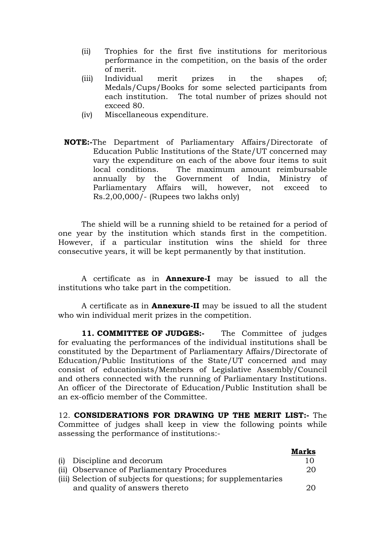- (ii) Trophies for the first five institutions for meritorious performance in the competition, on the basis of the order of merit.
- (iii) Individual merit prizes in the shapes of; Medals/Cups/Books for some selected participants from each institution. The total number of prizes should not exceed 80.
- (iv) Miscellaneous expenditure.
- **NOTE:-**The Department of Parliamentary Affairs/Directorate of Education Public Institutions of the State/UT concerned may vary the expenditure on each of the above four items to suit local conditions. The maximum amount reimbursable annually by the Government of India, Ministry of Parliamentary Affairs will, however, not exceed to Rs.2,00,000/- (Rupees two lakhs only)

The shield will be a running shield to be retained for a period of one year by the institution which stands first in the competition. However, if a particular institution wins the shield for three consecutive years, it will be kept permanently by that institution.

A certificate as in **Annexure-I** may be issued to all the institutions who take part in the competition.

A certificate as in **Annexure-II** may be issued to all the student who win individual merit prizes in the competition.

**11. COMMITTEE OF JUDGES:-** The Committee of judges for evaluating the performances of the individual institutions shall be constituted by the Department of Parliamentary Affairs/Directorate of Education/Public Institutions of the State/UT concerned and may consist of educationists/Members of Legislative Assembly/Council and others connected with the running of Parliamentary Institutions. An officer of the Directorate of Education/Public Institution shall be an ex-officio member of the Committee.

12. **CONSIDERATIONS FOR DRAWING UP THE MERIT LIST:-** The Committee of judges shall keep in view the following points while assessing the performance of institutions:-

|                                                                | <b>Marks</b> |
|----------------------------------------------------------------|--------------|
| (i) Discipline and decorum                                     | 10           |
| (ii) Observance of Parliamentary Procedures                    | 20.          |
| (iii) Selection of subjects for questions; for supplementaries |              |
| and quality of answers thereto                                 | 20           |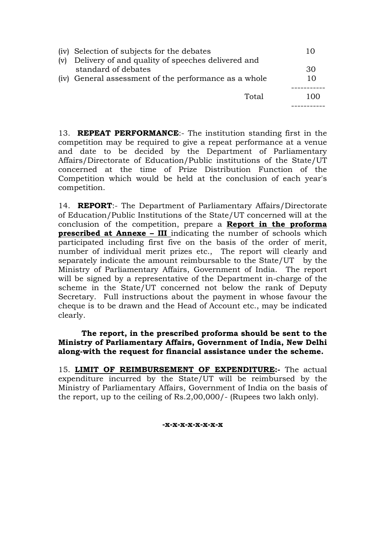|     | (iv) Selection of subjects for the debates            | 10  |
|-----|-------------------------------------------------------|-----|
| (v) | Delivery of and quality of speeches delivered and     |     |
|     | standard of debates                                   | 30  |
|     | (iv) General assessment of the performance as a whole | 10  |
|     |                                                       |     |
|     | Total                                                 | 100 |
|     |                                                       |     |

13. **REPEAT PERFORMANCE**:- The institution standing first in the competition may be required to give a repeat performance at a venue and date to be decided by the Department of Parliamentary Affairs/Directorate of Education/Public institutions of the State/UT concerned at the time of Prize Distribution Function of the Competition which would be held at the conclusion of each year's competition.

14. **REPORT**:- The Department of Parliamentary Affairs/Directorate of Education/Public Institutions of the State/UT concerned will at the conclusion of the competition, prepare a **Report in the proforma prescribed at Annexe – III** indicating the number of schools which participated including first five on the basis of the order of merit, number of individual merit prizes etc., The report will clearly and separately indicate the amount reimbursable to the State/UT by the Ministry of Parliamentary Affairs, Government of India. The report will be signed by a representative of the Department in-charge of the scheme in the State/UT concerned not below the rank of Deputy Secretary. Full instructions about the payment in whose favour the cheque is to be drawn and the Head of Account etc., may be indicated clearly.

## **The report, in the prescribed proforma should be sent to the Ministry of Parliamentary Affairs, Government of India, New Delhi along-with the request for financial assistance under the scheme.**

15. **LIMIT OF REIMBURSEMENT OF EXPENDITURE:-** The actual expenditure incurred by the State/UT will be reimbursed by the Ministry of Parliamentary Affairs, Government of India on the basis of the report, up to the ceiling of Rs.2,00,000/- (Rupees two lakh only).

**-x-x-x-x-x-x-x-x**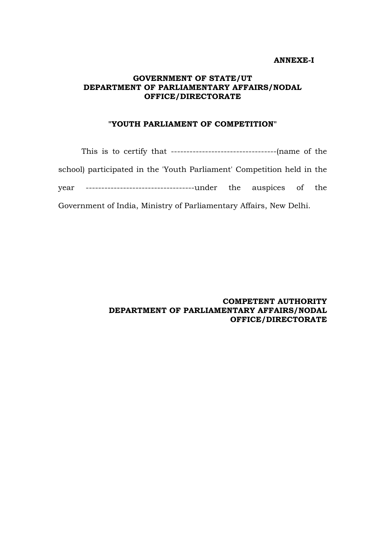#### **ANNEXE-I**

### **GOVERNMENT OF STATE/UT DEPARTMENT OF PARLIAMENTARY AFFAIRS/NODAL OFFICE/DIRECTORATE**

#### **"YOUTH PARLIAMENT OF COMPETITION"**

This is to certify that ----------------------------------(name of the school) participated in the 'Youth Parliament' Competition held in the year -----------------------------------under the auspices of the Government of India, Ministry of Parliamentary Affairs, New Delhi.

> **COMPETENT AUTHORITY DEPARTMENT OF PARLIAMENTARY AFFAIRS/NODAL OFFICE/DIRECTORATE**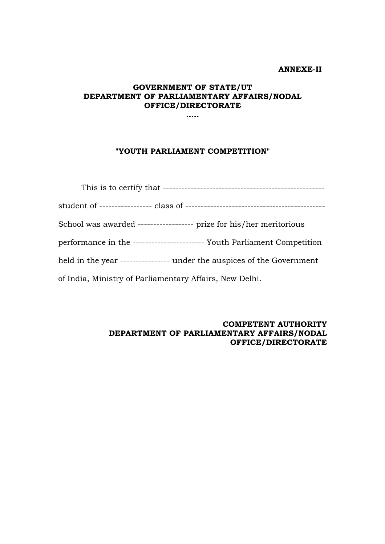#### **ANNEXE-II**

## **GOVERNMENT OF STATE/UT DEPARTMENT OF PARLIAMENTARY AFFAIRS/NODAL OFFICE/DIRECTORATE**

**…..** 

#### **"YOUTH PARLIAMENT COMPETITION"**

| School was awarded ------------------ prize for his/her meritorious     |  |  |  |
|-------------------------------------------------------------------------|--|--|--|
| performance in the ----------------------- Youth Parliament Competition |  |  |  |
| held in the year ---------------- under the auspices of the Government  |  |  |  |
| of India, Ministry of Parliamentary Affairs, New Delhi.                 |  |  |  |

#### **COMPETENT AUTHORITY DEPARTMENT OF PARLIAMENTARY AFFAIRS/NODAL OFFICE/DIRECTORATE**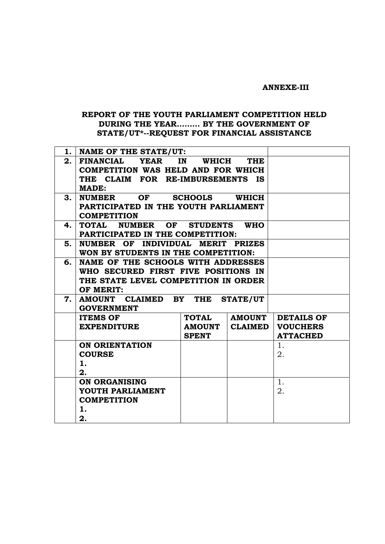#### **ANNEXE-III**

### **REPORT OF THE YOUTH PARLIAMENT COMPETITION HELD DURING THE YEAR……… BY THE GOVERNMENT OF STATE/UT\*--REQUEST FOR FINANCIAL ASSISTANCE**

|    | 1. NAME OF THE STATE/UT:                   |                  |                 |                   |
|----|--------------------------------------------|------------------|-----------------|-------------------|
| 2. | FINANCIAL YEAR                             | IN<br>WHICH      | <b>THE</b>      |                   |
|    | <b>COMPETITION WAS HELD AND FOR WHICH</b>  |                  |                 |                   |
|    | THE CLAIM FOR RE-IMBURSEMENTS IS           |                  |                 |                   |
|    | <b>MADE:</b>                               |                  |                 |                   |
| 3. | <b>NUMBER</b>                              | OF SCHOOLS WHICH |                 |                   |
|    | PARTICIPATED IN THE YOUTH PARLIAMENT       |                  |                 |                   |
|    | <b>COMPETITION</b>                         |                  |                 |                   |
| 4. | TOTAL NUMBER OF STUDENTS                   |                  | <b>WHO</b>      |                   |
|    | PARTICIPATED IN THE COMPETITION:           |                  |                 |                   |
| 5. | NUMBER OF INDIVIDUAL MERIT PRIZES          |                  |                 |                   |
|    | WON BY STUDENTS IN THE COMPETITION:        |                  |                 |                   |
| 6. | NAME OF THE SCHOOLS WITH ADDRESSES         |                  |                 |                   |
|    | WHO SECURED FIRST FIVE POSITIONS IN        |                  |                 |                   |
|    | THE STATE LEVEL COMPETITION IN ORDER       |                  |                 |                   |
|    | OF MERIT:                                  |                  |                 |                   |
| 7. | AMOUNT CLAIMED BY THE<br><b>GOVERNMENT</b> |                  | <b>STATE/UT</b> |                   |
|    | <b>ITEMS OF</b>                            | <b>TOTAL</b>     | <b>AMOUNT</b>   | <b>DETAILS OF</b> |
|    | <b>EXPENDITURE</b>                         | <b>AMOUNT</b>    | <b>CLAIMED</b>  | <b>VOUCHERS</b>   |
|    |                                            | <b>SPENT</b>     |                 | <b>ATTACHED</b>   |
|    | <b>ON ORIENTATION</b>                      |                  |                 | 1.                |
|    | <b>COURSE</b>                              |                  |                 | 2.                |
|    | 1.                                         |                  |                 |                   |
|    | 2.                                         |                  |                 |                   |
|    | ON ORGANISING                              |                  |                 | 1.                |
|    | YOUTH PARLIAMENT                           |                  |                 | 2.                |
|    | <b>COMPETITION</b>                         |                  |                 |                   |
|    | 1.                                         |                  |                 |                   |
|    | 2.                                         |                  |                 |                   |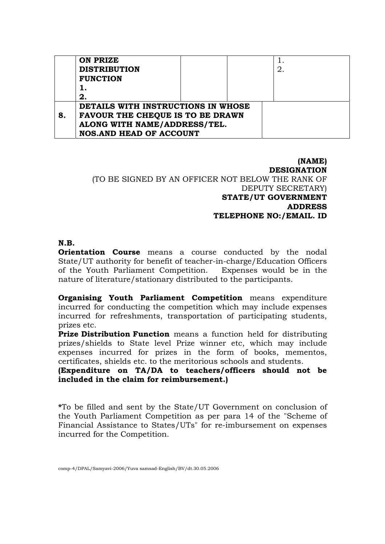|    | ON PRIZE<br><b>DISTRIBUTION</b><br><b>FUNCTION</b> |  |  | 2. |  |
|----|----------------------------------------------------|--|--|----|--|
|    | 2.                                                 |  |  |    |  |
|    | DETAILS WITH INSTRUCTIONS IN WHOSE                 |  |  |    |  |
| 8. | <b>FAVOUR THE CHEQUE IS TO BE DRAWN</b>            |  |  |    |  |
|    | ALONG WITH NAME/ADDRESS/TEL.                       |  |  |    |  |
|    | <b>NOS.AND HEAD OF ACCOUNT</b>                     |  |  |    |  |

#### **(NAME) DESIGNATION**  (TO BE SIGNED BY AN OFFICER NOT BELOW THE RANK OF DEPUTY SECRETARY) **STATE/UT GOVERNMENT ADDRESS TELEPHONE NO:/EMAIL. ID**

#### **N.B.**

**Orientation Course** means a course conducted by the nodal State/UT authority for benefit of teacher-in-charge/Education Officers of the Youth Parliament Competition. Expenses would be in the nature of literature/stationary distributed to the participants.

**Organising Youth Parliament Competition** means expenditure incurred for conducting the competition which may include expenses incurred for refreshments, transportation of participating students, prizes etc.

**Prize Distribution Function** means a function held for distributing prizes/shields to State level Prize winner etc, which may include expenses incurred for prizes in the form of books, mementos, certificates, shields etc. to the meritorious schools and students.

## **(Expenditure on TA/DA to teachers/officers should not be included in the claim for reimbursement.)**

**\***To be filled and sent by the State/UT Government on conclusion of the Youth Parliament Competition as per para 14 of the "Scheme of Financial Assistance to States/UTs" for re-imbursement on expenses incurred for the Competition.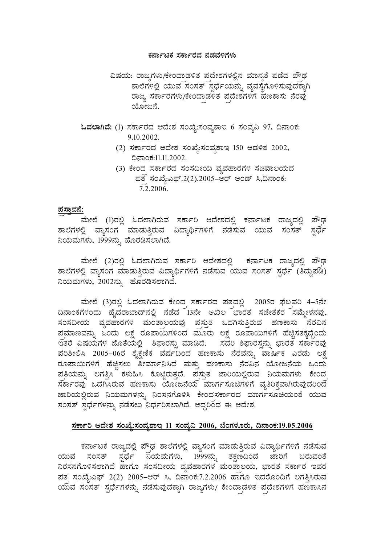#### ಕರ್ನಾಟಕ ಸರ್ಕಾರದ ನಡವಳಿಗಳು

- ವಿಷಯ: ರಾಜ್ಯಗಳು/ಕೇಂದಾಡಳಿತ ಪದೇಶಗಳಲ್ಲಿನ ಮಾನ್ಯತೆ ಪಡೆದ ಪೌಢ ಶಾಲೆಗಳಲ್ಲಿ ಯುವ ಸಂಸತ್ ಸ್ಪರ್ಧೆಯನ್ನು ವ್ಯವಸ್ಥೆಗೊಳಿಸುವುದಕ್ಕಾಗಿ ರಾಜ್ಯ ಸರ್ಕಾರಗಳು/ಕೇಂದಾಡಳಿತ ಪದೇಶಗಳಿಗೆ ಹಣಕಾಸು ನೆರವು ಯೋಜನೆ.
- ಓದಲಾಗಿದೆ: (1) ಸರ್ಕಾರದ ಆದೇಶ ಸಂಖ್ಯೆ:ಸಂವ್ನಶಾಇ 6 ಸಂವ್ಯವಿ 97, ದಿನಾಂಕ: 9.10.2002.
	- (2) ಸರ್ಕಾರದ ಆದೇಶ ಸಂಖ್ಯೆ:ಸಂವ್ಯಶಾಇ 150 ಆಡಳಿತ 2002, ¢£ÁAPÀ:11.11.2002.
	- (3) ಕೇಂದ<sub>್ಗ</sub> ಸರ್ಕಾರದ ಸಂಸದೀಯ ವ್ಯವಹಾರಗಳ ಸಚಿವಾಲಯದ  $\vec{v}$ ತ ಸಂಖ್ಯೆ:ಎಫ್.2(2).2005–ಆರ್ ಅಂಡ್ ಸಿ,ದಿನಾಂಕ: 7.2.2006.

#### <u>ಪಸ್ತಾವನೆ:</u>

ಮೇಲೆ (1)ರಲ್ಲಿ ಓದಲಾಗಿರುವ ಸರ್ಕಾರಿ ಆದೇಶದಲ್ಲಿ ಕರ್ನಾಟಕ ರಾಜ್ಯದಲ್ಲಿ ಪೌಢ <u>ಶಾಲೆಗಳಲ್ಲಿ ವ್ಯಾಸಂಗ<sup>ಿ</sup> ಮಾಡುತ್ತಿರುವ ವಿದ್ಯಾರ್ಥಿಗಳಿಗೆ ನಡೆಸುವ ಯುವ ಸಂಸತ್ ಸ್ಪರ್ಧೆ</u> ನಿಯಮಗಳು, 1999ನ್ನು ಹೊರಡಿಸಲಾಗಿದೆ.

ಮೇಲೆ (2)ರಲ್ಲಿ ಓದಲಾಗಿರುವ ಸರ್ಕಾರಿ ಆದೇಶದಲ್ಲಿ ಕರ್ನಾಟಕ ರಾಜ್ಯದಲ್ಲಿ ಪೌಢ ಶಾಲೆಗಳಲ್ಲಿ ವ್ಯಾಸಂಗ ಮಾಡುತ್ತಿರುವ ವಿದ್ಯಾರ್ಥಿಗಳಿಗೆ ನಡೆಸುವ ಯುವ ಸಂಸತ್ ಸ್ಪರ್ಧೆ (ತಿದ್ದುಪಡಿ)  $\alpha$ ನುಮಗಳು, 2002ನ್ನು ಹೊರಡಿಸಲಾಗಿದೆ.

ಮೇಲೆ (3)ರಲ್ಲಿ ಓದಲಾಗಿರುವ ಕೇಂದ ಸರ್ಕಾರದ ಪತದಲ್ಲಿ 2005ರ ಫೆಬವರಿ 4–5ನೇ ದಿನಾಂಕಗಳಂದು ಹೈದರಾಬಾದ್ ನಲ್ಲಿ ನಡೆದ 13ನೇ ಅಖಿಲ<sup>್</sup>ಭಾರತ ಸಚೇತಕರ ಸಮ್ಮೇಳನವು, ಸಂಸದೀಯ ವ್ಯವಹಾರಗಳ ಮಂತಾಲಯವು ಪಸ್ತುತ ಒದಗಿಸುತ್ತಿರುವ ಹಣಕಾಸು ನೆರವಿನ ಪಮಾಣವನ್ನು ಒಂದು ಲಕ್ಷ ರೂಪಾಯಗಳಿಂದ ಮೂರು ಲಕ್ಷ ರೂಪಾಯಿಗಳಿಗೆ ಹೆಚ್ಚಿಸತಕ್ಕದ್ದೆಂದು <u>ಇ</u>ತರೆ ವಿಷಯಗಳ ಜೊತೆಯಲ್ಲಿ ಶಿಫಾರಸ್ಸು ಮಾಡಿದೆ. ಸದರಿ ಶಿಫಾರಸ್ಪನ್ನು ಭಾರತ ಸರ್ಕಾರವು ಪರಿಶೀಲಿಸಿ 2005–06ರ ಶೈಕ್ಷಣಿಕ ವರ್ಷದಿಂದ ಹಣಕಾಸು ನೆರವನ್ನು ವಾರ್ಷಿಕ ಎರಡು ಲಕ್ಷ ರೂಪಾಯಿಗಳಿಗೆ ಹೆಚ್ಚಿಸಲು <sup>ಪ್ರ</sup>ಚರ್ಮನಿಸಿದೆ ಮತ್ತು ಹಣಕಾಸು ನೆರವಿನ ಯೋಜನೆಯ ಒಂದು ಪತಿಯನ್ನು ಲಗತ್ತಿಸಿ ಕಳುಹಿಸಿ ಕೊಟ್ಟಿರುತ್ತದೆ. ಪಸ್ತುತ ಜಾರಿಯಲ್ಲಿರುವ ನಿಯಮಗಳು ಕೇಂದ  $\vec{a}$ ಸರ್ಕಾರವು ಒದಗಿಸಿರುವ ಹಣಕಾಸು ಯೋಜನೆಯ ಮಾರ್ಗಸೂಚಿಗಳಿಗೆ ವ್ಯತಿರಿಕ್ತವಾಗಿರುವುದರಿಂದ ಜಾರಿಯಲ್ಲಿರುವ ನಿಯಮಗಳನ್ನು ನಿರಸನಗೊಳಿಸಿ ಕೇಂದಸರ್ಕಾರದ ಮಾರ್ಗಸೂಚಿಯಂತೆ ಯುವ ಸಂಸತ್ ಸ್ಪರ್ಧೆಗಳನ್ನು ನಡೆಸಲು ನಿರ್ಧರಿಸಲಾಗಿದೆ. ಆದ್ದರಿಂದ ಈ ಆದೇಶ.

#### <u>ಸರ್ಕಾರಿ ಆದೇಶ ಸಂಖ್ಯೆ:ಸಂವ್ಮಶಾಇ 11 ಸಂವ್ಮವಿ 2006, ಬೆಂಗಳೂರು, ದಿನಾಂಕ:19.05.2006</u>

ಕರ್ನಾಟಕ ರಾಜ್ಯದಲ್ಲಿ ಪೌಢ ಶಾಲೆಗಳಲ್ಲಿ ವ್ಯಾಸಂಗ ಮಾಡುತ್ತಿರುವ ವಿದ್ಯಾರ್ಥಿಗಳಿಗೆ ನಡೆಸುವ ಯುವ ಸಂಸತ್ ಸ್ಪರ್ಧೆ ನಿಯಮಗಳು, 1999ನ್ನು ತಕ್ಷಣದಿಂದ ಜಾರಿಗೆ ಬರುವಂತೆ ವಿರಸನಗೊಳಿಸಲಾಗಿದೆ ಹಾಗೂ ಸಂಸದೀಯ ವ್ಯವಹಾರಗಳ ಮಂತಾಲಯ, ಭಾರತ ಸರ್ಕಾರ ಇವರ ಪತ ಸಂಖ್ಯೆಎಫ್ 2(2) 2005–ಆರ್ ಸಿ, ದಿನಾಂಕ:7.2.2006 ಹಾಗೂ ಇದರೊಂದಿಗೆ ಲಗತ್ತಿಸಿರುವ  $\Delta$ ಯವ ಸಂಸತ್ ಸ್ಪರ್ಧೆಗಳನ್ನು ನಡೆಸುವುದಕ್ಕಾಗಿ ರಾಜ್ಯಗಳು/ ಕೇಂದಾಡಳಿತ ಪದೇಶಗಳಿಗೆ ಹಣಕಾಸಿನ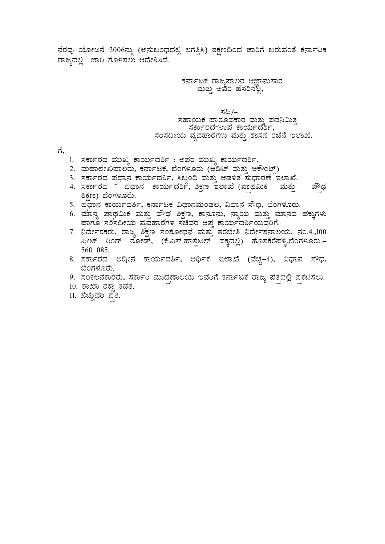<u>ನೆರವು ಯೋಜನೆ 2006ನ್ನು (ಅನುಬಂಧದಲ್ಲಿ ಲಗತ್ತಿಸಿ) ತಕ್ಷಣದಿಂದ ಜಾರಿಗೆ ಬರುವಂತೆ ಕರ್ನಾಟಕ</u> ರಾಜ್ಯದಲ್ಲಿ ಜಾರಿ ಗೊಳಿಸಲು ಆದೇಶಿಸಿದೆ.

ಕರ್ನಾಟಕ ರಾಜ್ಯಪಾಲರ ಆಜ್ಞಾನುಸಾರ<br>ಮತ್ತು ಅವರ ಹೆಸರಿನಲ್ಲಿ, Ì.

# ≯ಸಹಿ/–<br>ಸಹಾಯಕ ಪಾರೂಪಕಾರ ಮತ್ತು ಪದನಿಮಿತ್ತ<br>, ಸರ್ಕಾರದ ಉಪ ಕಾರ್ಯದರ್ಶಿ, ಸಂಸದೀಯ ವ್ಯವಹಾರಗಳು ಮತ್ತು ಶಾಸನ ರಚನೆ ಇಲಾಖೆ.

ಗೆ,

- 1. ಸರ್ಕಾರದ ಮುಖ್ಯ ಕಾರ್ಯದರ್ಶಿ : ಅಪರ ಮುಖ್ಯ ಕಾರ್ಯದರ್ಶಿ.
- 2. ಮಹಾಲೇಖಪಾಲರು, ಕರ್ನಾಟಕ, ಬೆಂಗಳೂರು (ಆಡಿಟ್ ಮತ್ತು ಅಕೌಂಟ್)
- 3. ಸರ್ಕಾರದ ಪ್ರಧಾನ ಕಾರ್ಯದರ್ಶಿ, ಸಿಬ್ಬಂದಿ ಮತ್ತು ಆಡಳಿತ ಸುಧಾರಣೆ ಇಲಾಖೆ.
- 4. ಸರ್ಕಾರದ ¯ ಪ್ರಧಾನ ಕಾರ್ಯದರ್ಶಿ, ಶಿಕ್ಷಣ ಇಲಾಖೆ (ಪಾಥಮಿಕ ಮತ್ತು ಪೌಢ ಶಿಕ್ಷಣ) ಬೆಂಗಳೂರು.
- 5. ಪೆಧಾನ ಕಾರ್ಯದರ್ಶಿ, ಕರ್ನಾಟಕ ವಿಧಾನಮಂಡಲ, ವಿಧಾನ ಸೌಧ, ಬೆಂಗಳೂರು.
- 6. ಮಾನ್ಯ ಪಾಥಮಿಕ ಮತ್ತು ಪೌಢ ಶಿಕ್ಷಣ, ಕಾನೂನು, ನ್ಯಾಯ ಮತ್ತು ಮಾನವ ಹಕ್ಕುಗಳು ಹಾಗೂ ಸರಸದೀಯ ವ್ಯವಹಾರಗಳ ಸಚಿವರ ಆಪ್ತ ಕಾರ್ಯದರ್ಶಿಯವರಿಗೆ.
- 7. ನಿರ್ದೇಶಕರು, ರಾಜ್ಯ ಶಿಕ್ಷಣ ಸಂಶೋಧನೆ ಮತ್ತು ತರಬೇತಿ ನಿರ್ದೇಶನಾಲಯ, ನಂ.4.,100 ಷೀಟ್ ರಿಂಗ್ ರೋಡ್, (ಕೆ.ಎಸ್.ಹಾಸ್ಪೆಟಲ್ ಪಕ್ಕದಲ್ಲಿ) ಹೊಸಕೆರೆಹಳ್ಳಿ,ಬೆಂಗಳೂರು.– 560 085.
- 8. ಸರ್ಕಾರದ ಅದೀನ ಕಾರ್ಯದರ್ಶಿ, ಆರ್ಥಿಕ ಇಲಾಖೆ (ವೆಚ್ಚ–4), ವಿಧಾನ ಸೌಧ, ಬೆಂಗಳೂರು.
- 9. ಸಂಕಲನಕಾರರು, ಸರ್ಕಾರಿ ಮುದಣಾಲಯ ಇವರಿಗೆ ಕರ್ನಾಟಕ ರಾಜ್ಯ ಪತದಲ್ಲಿ ಪಕಟಿಸಲು.
- 10. ಶಾಖಾ ರಕ್ಷಾ ಕಡತ.
- 11. ಹೆಚ್ಚುವರಿ ಪ<sup>್ರ</sup>ತಿ.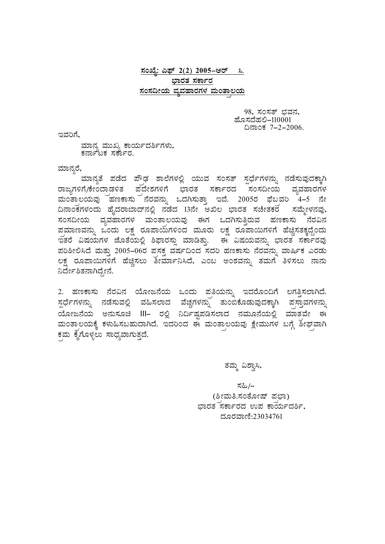## <u>ಸಂಖ್ಯೆ: ಎಫ್ 2(2) 2005–ಆರ್ ಸಿ.</u> ಭಾರತ ಸರ್ಕಾರ <u>ಸಂಸದೀಯ ವ್ಯವಹಾರಗಳ ಮಂತಾಲಯ</u>

98, ಸಂಸತ್ ಭವನ,<br>ಹೊಸದೆಹಲಿ–110001 ¢£ÁAPÀ 7-2-2006. EªÀjUÉ,

ಮಾನ್ಯ ಮುಖ್ಯ ಕಾರ್ಯದರ್ಶಿಗಳು,<br>ಕರ್ನಾಟಕ ಸರ್ಕಾರ.

ಮಾನ್ಯರೆ,

ಮಾನ್ಯತೆ ಪಡೆದ ಪೌಢ ಶಾಲೆಗಳಲ್ಲಿ ಯುವ ಸಂಸತ್ ಸ್ಪರ್ಧೆಗಳನ್ನು ನಡೆಸುವುದಕ್ಕಾಗಿ ರಾಜ್ಯಗಳಿಗೆ/ಕೇಂದಾಡಳಿತ ಪದೇಶಗಳಿಗೆ ಭಾರತ ಸರ್ಕಾರದ <sup>ಪ</sup>ಸಂಸದೀಯ ವ್ಯವಹಾರಗಳ ಮಂತಾಲಯವು ಹಣಕಾಸು ನೆರವನ್ನು ಒದಗಿಸುತ್ತಾ ಇದೆ. 2005ರ ಫೆಬ್ರವರಿ 4–5 ನೇ <u>ದಿನಾಂಕಗಳಂದು ಹೈದರಾಬಾದ್*ನಲ್ಲಿ ನಡೆದ 13ನೇ* ಅಖಿಲ ಭಾರತ ಸಚೇತಕರ ಪಮ್ಮೇಳನವು,</u> ಸಂಸದೀಯ ವ್ಯವಹಾರಗಳ ಮಂತಾಲಯವು ಈಗ ಒದಗಿಸುತ್ತಿರುವ ಹಣಕಾಸು ನೆರವಿನ ಹಮಾಣವನ್ನು ಒಂದು ಲಕ್ಷ ರೂಪಾಯಗಳಿಂದ ಮೂರು ಲಕ್ಷ ರೂಪಾಯಿಗಳಿಗೆ ಹೆಚ್ಚಿಸತಕ್ಕದ್ದೆಂದು ಇತರೆ ವಿಷಯಗಳ ಜೊತೆಯಲ್ಲಿ ಶಿಫಾರಸ್ಸು ಮಾಡಿತ್ತು. ಈ ವಿಷಯವನ್ನು ಭಾರತ ಸರ್ಕಾರವು ಹರಿಶೀಲಿಸಿದೆ ಮತ್ತು 2005-06ರ ಪಸಕ್ತ ವರ್ಷದಿಂದ ಸದರಿ ಹಣಕಾಸು ನೆರವನ್ನು ವಾರ್ಷಿಕ ಎರಡು ಲಕ್ಷ ರೂಪಾಯಿಗಳಿಗೆ ಹೆಚ್ಚಿಸಲು ತೀರ್ಮಾನಿಸಿದೆ, ಎಂಬ ಅಂಶವನ್ನು ತಮಗೆ ತಿಳಿಸಲು ನಾನು ನಿರ್ದೇಶಿತನಾಗಿದ್ದೇನೆ.

2. ಹಣಕಾಸು ನೆರವಿನ ಯೋಜನೆಯ ಒಂದು ಪ್ರತಿಯನ್ನು ಇದರೊಂದಿಗೆ ಲಗತ್ತಿಸಲಾಗಿದೆ.  $\bar{\rm z}$ ಧೆ೯ಗಳನ್ನು ನಡೆಸುವಲ್ಲಿ ವಹಿಸಲಾದ ವೆಚ್ಚಗಳನ್ನು ತುಂಬಿಕೊಡುವುದಕ್ಕಾಗಿ ಪಸ್ತಾವಗಳನ್ನು  $\Delta \Omega$ ಯೋಜನೆಯ ಅನುಸೂಚಿ III– ರಲ್ಲಿ ನಿರ್ದಿಷ್ಟಪಡಿಸಲಾದ ನಮೂನೆಯಲ್ಲಿ ಮಾತ್ರವೇ ಈ ಮಂತಾಲಯಕ್ಕೆ ಕಳುಹಿಸಬಹುದಾಗಿದೆ. ಇದರಿಂದ ಈ ಮಂತಾಲಯವು ಕ್ಷೇಮುಗಳ ಬಗ್ಗೆ ಶೀಘವಾಗಿ ಕಮ ಕೈಗೊಳ್ಳಲು ಸಾಧ್ಯವಾಗುತ್ತದೆ.

ತಮ್ಮ ವಿಶ್ವಾಸಿ,

 ¸À»/- (ಶೀಮತಿ.ಸಂತೋಷ್ ಪಭಾ) ಭಾರತ ಸರ್ಕಾರದ ಉಪ ಕಾರ್ಯದರ್ಶಿ, ದೂರವಾಣಿ:23034761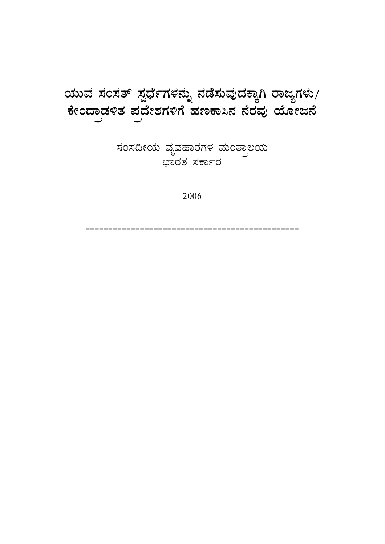# ಯುವ ಸಂಸತ್ ಸ್ಪರ್ಧೆಗಳನ್ನು ನಡೆಸುವುದಕ್ಕಾಗಿ ರಾಜ್ಯಗಳು/ **PÉÃAzÁçqÀ½vÀ ¥ÀçzÉñÀUÀ½UÉ ºÀtPÁ¹£À £ÉgÀªÀÅ AiÉÆÃd£É**

ಸಂಸದೀಯ ವ್ಯವಹಾರಗಳ ಮಂತ್ರಾಲಯ ಭಾರತ ಸರ<mark>್ಕಾ</mark>ರ

2006

===============================================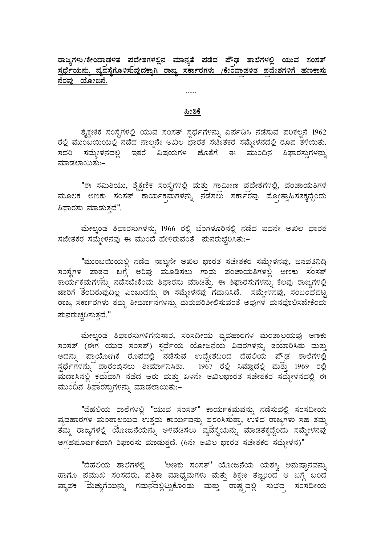## <u>ರಾಜ್ಯಗಳು/ಕೇಂದಾಡಳಿತ ಪದೇಶಗಳಲ್ಲಿನ ಮಾನ್ನತೆ ಪಡೆದ ಪೌಢ ಶಾಲೆಗಳಲ್ಲಿ ಯುವ ಸಂಸತ್</u> <u>ಸ್ವರ್ಧೆಯನ್ನು ವ್ಯವಸ್ಥೆಗೊಳಿಸುವುದಕ್ಕಾಗಿ ರಾಜ್ಯ ಸರ್ಕಾರಗಳು /ಕೇಂದಾಡಳಿತ ಪದೇಶಗಳಿಗೆ ಹಣಕಾಸು</u> **£ÉgÀªÀÅ AiÉÆÃd£É.**

#### **¦ÃpPÉ**

......

ಶೈಕ್ಷಣಿಕ ಸಂಸ್ಥೆಗಳಲ್ಲಿ ಯುವ ಸಂಸತ್ ಸ್ಪರ್ಧೆಗಳನ್ನು ಏರ್ಪಡಿಸಿ ನಡೆಸುವ ಪರಿಕಲ್ಪನೆ 1962 ರಲ್ಲಿ ಮುಂಬಯಿಯಲ್ಲಿ ನಡೆದ ನಾಲ್ಕನೇ ಅಖಿಲ ಭಾರತ ಸಚೇತಕರ ಸಮ್ಮೇಳನದಲ್ಲಿ ರೂಪ ತಳೆಯಿತು. ಸದರಿ ಸಮ್ಮೇಳನದಲ್ಲಿ ಇತರೆ ವಿಷಯಗಳ ಜೊತೆಗೆ ಈ ಮುಂದಿನ ಶಿಫಾರಸ್ಸುಗಳನ್ನು ಮಾಡಲಾಯಿತು:–

"ಈ ಸಮಿತಿಯು, ಶೈಕ್ಷಣಿಕ ಸಂಸ್ಥೆಗಳಲ್ಲಿ ಮತ್ತು ಗಾಮೀಣ ಪದೇಶಗಳಲ್ಲಿ, ಪಂಚಾಯತಿಗಳ ಮೂಲಕ ಅಣಕು ಸಂಸತ್ ಕಾರ್ಯಕ್ರಮಗಳನ್ನು ನಡೆಸಲು ಸರ್ಕಾರವು ಮೋತ್ಸಾಹಿಸತಕ್ಕದ್ದೆಂದು ಶಿಫಾರಸು ಮಾಡುತದೆ".

ಮೇಲ್ತಂಡ ಶಿಫಾರಸುಗಳನ್ನು 1966 ರಲ್ಲಿ ಬೆಂಗಳೂರಿನಲ್ಲಿ ನಡೆದ ಐದನೇ ಅಖಿಲ ಭಾರತ ಸಚೇತಕರ ಸಮ್ಮೇಳನವು ಈ ಮುಂದೆ ಹೇಳಿರುವಂತೆ ಪುನರುಚ್ಛರಿಸಿತು:–

"ಮುಂಬಯಿಯಲ್ಲಿ ನಡೆದ ನಾಲ್ಕನೇ ಅಖಿಲ ಭಾರತ ಸಚೇತಕರ ಸಮ್ಮೇಳನವು, ಜನಪತಿನಿದಿ ಸಂಸ್ಥೆಗಳ ಪಾತ್ರದ ಬಗ್ಗೆ ಅರಿವು ಮೂಡಿಸಲು ಗಾಮ ಪಂಚಾಯತಿಗಳಲ್ಲಿ ಅಣಕು ಸಂಸತ್ ಕಾರ್ಯಕಮಗಳನ್ನು ನಡೆಸಬೇಕೆಂದು ಶಿಫಾರಸು ಮಾಡಿತ್ತು. ಈ ಶಿಫಾರಸುಗಳನ್ನು ಕೆಲವು ರಾಜ್ಯಗಳಲ್ಲಿ ಜಾರಿಗೆ ತಂದಿರುವುದಿಲ್ಲ ಎಂಬುದನ್ನು ಈ ಸಮ್ಮೇಳನವು ಗಮನಿಸಿದೆ. ಸಮ್ಮೇಳನವು, ಸಂಬಂಧಪಟ್ಟ ರಾಜ್ಯ ಸರ್ಕಾರಗಳು ತಮ್ಮ ತೀರ್ಮಾನಗಳನ್ನು ಮರುಪರಿಶೀಲಿಸುವಂತೆ ಅವುಗಳ ಮನವೊಲಿಸಬೇಕೆಂದು ಮನರುಚ್ಚರಿಸುತ್ತದೆ."

ಮೇಲ್ಕಂಡ ಶಿಫಾರಸುಗಳಿಗನುಸಾರ, ಸಂಸದೀಯ ವ್ಯವಹಾರಗಳ ಮಂತಾಲಯವು ಅಣಕು ಸಂಸತ್ (ಈಗ ಯುವ ಸಂಸತ್) ಸ್ಪರ್ಧೆಯ ಯೋಜನೆಯ ವಿವರಗಳನ್ನು ತಯಾರಿಸಿತು ಮತ್ತು ಅದನ್ನು ಪಾಯೋಗಿಕ ರೂಪದಲ್ಲಿ <sup>~</sup>ನಡೆಸುವ ಉದ್ದೇಶದಿಂದ ದೆಹಲಿಯ ಪೌಢ ಶಾಲೆಗಳಲ್ಲಿ  $\vec{z}$ ನ್ಲೆಗಳನ್ನು ಪಾರಂಬಿಸಲು ತೀರ್ಮಾನಿಸಿತು.  $1967$  ರಲ್ಲಿ ಸಿಮ್ಲಾದಲ್ಲಿ ಮತ್ತು 1969 ರಲ್ಲಿ ಹುದಾಸಿನಲ್ಲಿ ಕಮವಾಗಿ ನಡೆದ ಆರು ಮತ್ತು ಏಳನೇ ಅಖಿಲಭಾರತ ಸಚೇತಕರ ಸಮ್ಮೇಳನದಲ್ಲಿ ಈ ಮುಂದಿನ ಶಿಫಾರಸ್ಸುಗಳನ್ನು ಮಾಡಲಾಯಿತು:–

"ದೆಹಲಿಯ ಶಾಲೆಗಳಲ್ಲಿ "ಯುವ ಸಂಸತ್" ಕಾರ್ಯಕಮವನ್ನು ನಡೆಸುವಲ್ಲಿ ಸಂಸದೀಯ ವ್ಯವಹಾರಗಳ ಮಂತಾಲಯದ ಉತ್ತಮ ಕಾರ್ಯವನ್ನು ಪಶಂಸಿಸುತ್ತಾ, ಉಳಿದ ರಾಜ್ಯಗಳು ಸಹ ತಮ್ಮ ಿಮ್ಮ ರಾಜ್ಯಗಳಲ್ಲಿ ಯೋಜನೆಯನ್ನು ಅಳವಡಿಸಲು `ವ್ಯವಸ್ಥೆಯನ್ನು ಮಾಡತಕ್ಕದ್ದೆಂದು ಸಮ್ಮೇಳನವು ಆಗಹಪೂರ್ವಕವಾಗಿ ಶಿಫಾರಸು ಮಾಡುತ್ತದೆ. (6ನೇ ಅಖಿಲ ಭಾರತ ಸಚೇತಕರ ಸಮ್ಮೇಳನ)"

"ದೆಹಲಿಯ ಶಾಲೆಗಳಲ್ಲಿ 'ಅಣಕು ಸಂಸತ್' ಯೋಜನೆಯ ಯಶಸ್ತಿ ಅನುಷ್ಠಾನವನ್ನು ಹಾಗೂ ಪ್ರಮುಖ ಸಂಸದರು, ಪತಿಕಾ ಮಾಧ್ಯಮಗಳು ಮತ್ತು ಶಿಕ್ಷಣ ತಜ್ಞರಿಂದ ಆ ಬಗ್ಗೆ ಬಂದ ಎ್ಯಾಪಕ ಮೆಚ್ಚುಗೆಯನ್ನು ಗಮನದಲ್ಲಿಟ್ಟುಕೊಂಡು ಮತ್ತು ರಾಷ್ಟ್ರದಲ್ಲಿ ಸುಭದ ಸಂಸದೀಯ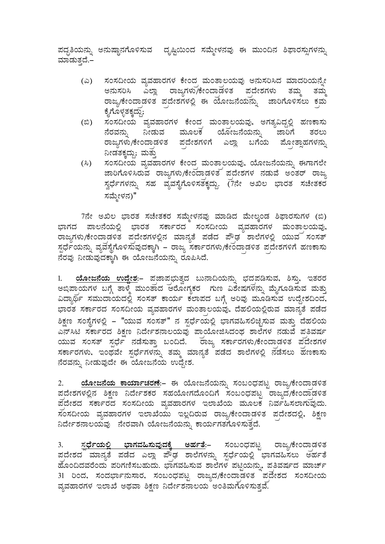ಹದ್ದತಿಯನ್ನು ಅನುಷ್ಠಾನಗೊಳಿಸುವ ಪೃಷ್ಟಿಯಿಂದ ಸಮ್ಮೇಳನವು ಈ ಮುಂದಿನ ಶಿಫಾರಸ್ಪುಗಳನ್ನು ಮಾಡುತ್ತದೆ.–

- (ಎ) ಸಂಸದೀಯ ವ್ಯವಹಾರಗಳ ಕೇಂದ ಮಂತಾಲಯವು ಅನುಸರಿಸಿದ ಮಾದರಿಯನ್ನೇ ಅನುಸರಿಸಿ ಎಲ್ಲಾ ರಾಜ್ಯಗಳು/ಕೇಂದಾಡಳಿತ ಪದೇಶಗಳು ತಮ್ಮ ತಮ್ಮ ghamaked and philo the checastical and the rad to real the control of the control of the control of the check o ಕ್ನೆಗೊಳ್ಳತಕ್ಕದ್ದು;
- (©) ¸ÀA¸À¢ÃAiÀÄ ªÀåªÀºÁgÀUÀ¼À PÉÃAzÀç ªÀÄAvÁç®AiÀĪÀÅ, CUÀvÀå«zÀÝ°è ºÀtPÁ¸ÀÄ ನೆರವನ್ನು ನೀಡುವ ಮೂಲಕ ಯೋಜನೆಯನ್ನು ಜಾರಿಗೆ ತರಲು ರಾಜ್ಯಗಳು/ಕೇಂದಾಡಳಿತ ಪದೇಶಗಳಿಗೆ ಎಲ್ಲಾ ಬಗೆಯ ಮೋತ್ಸಾಹಗಳನ್ನು ನೀಡತಕ್ಕದ್ದು; ಮತ್ತು
- (ಸಿ) ಸಂಸದೀಯ ವ್ಯವಹಾರಗಳ ಕೇಂದ<sub>್</sub>ದುಂತಾಲಯವು, ಯೋಜನೆಯನ್ನು ಈಗಾಗಲೇ ಜಾರಿಗೊಳಿಸಿರುವ ರಾಜ್ಯಗಳು/ಕೇಂದಾಡಳಿತ ಪದೇಶಗಳ ನಡುವೆ ಅಂತರ್ ರಾಜ್ಯ ಸ್ವರ್ಧೆಗಳನ್ನು ಸಹ ವ್ಯವಸ್ಥೆಗೊಳಿಸತಕ್ಕದ್ದು. (7ನೇ ಅಖಿಲ ಭಾರತ ಸಚೇತಕರ ಸಮ್ಮೇಳನ)"

7ನೇ ಅಖಿಲ ಭಾರತ ಸಚೇತಕರ ಸಮ್ಮೇಳನವು ಮಾಡಿದ ಮೇಲ್ತಂಡ ಶಿಫಾರಸುಗಳ (ಬಿ) ಭಾಗದ ಪಾಲನೆಯಲ್ಲಿ ಭಾರತ ಸರ್ಕಾರದ ಸಂಸದೀಯ ವ್ಯವಹಾರಗಳ ಮಂತಾಲಯವು, ರಾಜ್ಯಗಳು/ಕೇಂದಾಡಳಿತ ಪದೇಶಗಳಲ್ಲಿನ ಮಾನ್ಯತೆ ಪಡೆದ ಪೌಢ<sup>ಾ</sup>ಶಾಲೆಗಳಲ್ಲಿ ಯುವ ಸಂಸತ್ ಸ್ಪರ್ಧೆಯನ್ನು ವ್ಯವಸ್ಥೆಗೊಳಿಸುವುದಕ್ಕಾಗಿ – ರಾಜ್ಯ ಸರ್ಕಾರಗಳು/ಕೇಂದಾಡಳಿತ ಪ್ರದೇಶಗಳಿಗೆ ಹಣಕಾಸು ನೆರವು ನೀಡುವುದಕ್ಕಾಗಿ ಈ ಯೋಜನೆಯನ್ನು ರೂಪಿಸಿದೆ.

1. <u>ಯೋಜನೆಯ ಉದ್ದೇಶ</u>:– ಪಜಾಪಭುತ್ವದ ಬುನಾದಿಯನ್ನು ಭದಪಡಿಸುವ, ಶಿಸ್ತು, ಇತರರ ಅಭಿಪಾಯಗಳ ಬಗ್ಗೆ ತಾಳ್ಮೆ ಮುಂತಾದ ಆರೋಗ್ಯಕರ ಗುಣ ವಿಶೇಷಗಳನ್ನು ಮೈಗೂಡಿಸುವ ಮತ್ತು ಎದ್ಯಾರ್ಥಿ ಸಮುದಾಯದಲ್ಲಿ ಸಂಸತ್ ಕಾರ್ಯ ಕಲಾಪದ ಬಗ್ಗೆ ಅರಿವು ಮೂಡಿಸುವ ಉದ್ದೇಶದಿಂದ, ಭಾರತ ಸರ್ಕಾರದ ಸಂಸದೀಯ ವ್ಯವಹಾರಗಳ ಮಂತಾಲಯವು, ದೆಹಲಿಯಲ್ಲಿರುವ ಮಾನ್ಯತೆ ಪಡೆದ ಶಿಕ್ಷಣ ಸಂಸ್ಥೆಗಳಲ್ಲಿ – "ಯುವ ಸಂಸತ್" ನ ಸ್ಪರ್ಧೆಯಲ್ಲಿ ಭಾಗವಹಿಸಲಿಚ್ಛಿಸುವ ಮತ್ತು ದೆಹಲಿಯ ಎನ್ಸಿಟಿ ಸರ್ಕಾರದ ಶಿಕ್ಷಣ ನಿರ್ದೇಶನಾಲಯವು ಪಾಯೋಜಿಸಿದಂಥ ಶಾಲೆಗಳ ನಡುವೆ ಪತಿವರ್ಷ ಯುವ ಸಂಸತ್ ಸ್ಪರ್ಧೆ ನಡೆಸುತ್ತಾ ಬಂದಿದೆ. ರಾಜ್ಯ ಸರ್ಕಾರಗಳು/ಕೇಂದಾಡಳಿತ ಪ್ರದೇಶಗಳ ಸರ್ಕಾರಗಳು, ಇಂಥವೇ ಸ್ಪರ್ಧೆಗಳನ್ನು ತಮ್ಮ ಮಾನ್ಯತೆ ಪಡೆದ ಶಾಲೆಗಳಲ್ಲಿ ನಡೆಸಲು ಹಣಕಾಸು ನೆರವನ್ನು ನೀಡುವುದೇ ಈ ಯೋಜನೆಯ ಉದ್ದೇಶ.

2. **AiÉÆÃd£ÉAiÀÄ PÁAiÀiÁðZÀgÀuÉ**:- F AiÉÆÃd£ÉAiÀÄ£ÀÄß ¸ÀA§AzsÀ¥ÀlÖ gÁdå/PÉÃAzÁçqÀ½vÀ ಪ್ರದೇಶಗಳಲ್ಲಿನ ಶಿಕ್ಷಣ ನಿರ್ದೇಶಕರ ಸಹಯೋಗದೊಂದಿಗೆ ಸಂಬಂಧಪಟ್ಟ ರಾಜ್ಯದ/ಕೇಂದ್ರಾಡಳಿತ ಪ್ರದೇಶದ ಸರ್ಕಾರದ ಸಂಸದೀಯ ವ್ಯವಹಾರಗಳ ಇಲಾಖೆಯ ಮೂಲಕ ನಿರ್ವಹಿಸಲಾಗುವುದು. ಸಂಸದೀಯ ವ್ಯವಹಾರಗಳ ಇಲಾಖೆಯು ಇಲ್ಲದಿರುವ ರಾಜ್ಯ/ಕೇಂದಾಡಳಿತ ಪ್ರದೇಶದಲ್ಲಿ, ಶಿಕ್ಷಣ <u>ನಿರ್ದೇಶನಾಲಯವು ನೇರವಾಗಿ ಯೋಜನೆಯನ್ನು ಕಾರ್ಯಗತಗೊಳಿಸುತ್ತದೆ.</u>

<u>ಸ್ಪರ್ಧೆಯಲ್ಲಿ ಭಾಗವಹಿಸುವುದಕ್ಕೆ ಅರ್ಹತೆ</u>:– ಸಂಬಂಧಪಟ್ಟ ರಾಜ್ಯ/ಕೇಂದಾಡಳಿತ ಪದೇಶದ<sup>್</sup> ಮಾನ್ನತೆ ಪಡೆದ ಎಲ್ಲಾ ಪೌಢ ಶಾಲೆಗಳನ್ನು ಸ್ಪರ್ಧೆಯಲ್ಲಿ ¨ಭಾಗವಹಿಸಲು ಅರ್ಹತೆ ಹೊಂದಿದವರೆಂದು ಪರಿಗಣಿಸಬಹುದು. ಭಾಗವಹಿಸುವ ಶಾಲೆಗಳ ಪಟ್ಟಿಯನ್ನು, ಪೃತಿವರ್ಷದ ಮಾರ್ಚ್ 31 ರಿಂದ, ಸಂದರ್ಭಾನುಸಾರ, ಸಂಬಂಧಪಟ್ಟ ರಾಜ್ಯದ/ಕೇಂದಾಡಳಿತ ಪ್ರವೇಶದ ಸಂಸದೀಯ ವ್ಯವಹಾರಗಳ ಇಲಾಖೆ ಅಥವಾ ಶಿಕ್ಷಣ ನಿರ್ದೇಶನಾಲಯ ಅಂತಿಮಗೊಳಿಸುತ್ತವೆ.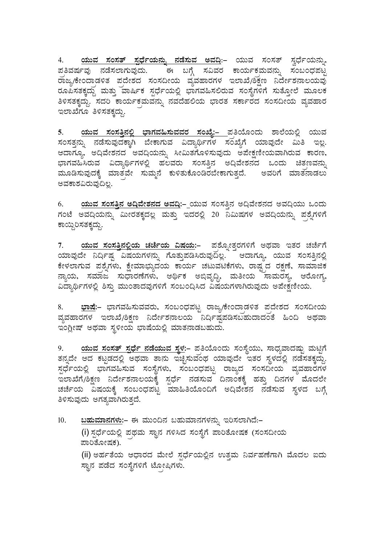4. <u>ಯುವ ಸಂಸತ್ ಸ್ಪರ್ಧೆಯನ್ನು ನಡೆಸುವ ಅವದಿ</u>:– ಯುವ ಸಂಸತ್ ಸ್ವರ್ಧೆಯನ್ನು, ಪ್ರತಿವರ್ಷವು ನಡೆಸಲಾಗುವುದು. ಈ ಬಗ್ಗೆ ಸವಿವರ ಕಾರ್ಯಕ್ರಮವನ್ನು ಸಂಬಂಧಪಟ್ಟ ಹಾಜ್ಯ/ಕೇಂದಾಡಳಿತ ಪದೇಶದ ಸಂಸದೀಯ ವ್ಯವಹಾರಗಳ ಇಲಾಖೆ/ಶಿಕ್ಷಣ ನಿರ್ದೇಶನಾಲಯವು ರೂಪಿಸತಕ್ಕದ್ದು ಮತ್ತು ವಾರ್ಷಿಕ ಸ್ಪರ್ಧೆಯಲ್ಲಿ ಭಾಗವಹಿಸಲಿರುವ ಸಂಸ್ಥೆಗಳಿಗೆ ಸುತ್ತೋಲೆ ಮೂಲಕ ತಿಳಿಸತಕ್ತದ್ದು. ಸದರಿ ಕಾರ್ಯಕಮವನ್ನು ನವದೆಹಲಿಯ ಭಾರತ ಸರ್ಕಾರದ ಸಂಸದೀಯ ವ್ಯವಹಾರ ಇಲಾಖೆಗೂ ತಿಳಿಸತಕ್ತದ್ದು.

<mark>5. <u>ಯುವ ಸಂಸತ್ತಿನಲ್ಲಿ ಭಾಗವಹಿಸುವವರ ಸಂಖ್ಯೆ:– ಪ</u>ತಿಯೊಂದು ಶಾಲೆಯಲ್ಲಿ ಯುವ</mark> ¸ÀA¸ÀvÀÛ£ÀÄß £ÀqɸÀĪÀÅzÀPÁÌV ¨ÉÃPÁUÀĪÀ «zÁåyðUÀ¼À ¸ÀASÉåUÉ AiÀiÁªÀÅzÉà «Äw E®è. ಅದಾಗ್ಯೂ, ಅದಿವೇಶನದ ಅವದಿಯನ್ನು ಸೀಮಿತಗೊಳಿಸುವುದು ಶಿಪೇಕ್ಷಣೀಯವಾಗಿರುವ ಕಾರಣ, ಾಗವಹಿಸಿರುವ ವಿದ್ಯಾರ್ಥಿಗಳಲ್ಲಿ ಹಲವರು ಸಂಸತ್ತಿನ ಅದಿವೇಶನದ ಒಂದು ಚಿತಣವನ್ನು ಮೂಡಿಸುವುದಕ್ಕೆ ಮಾತವೇ ಸುಮ್ಮನೆ ಕುಳಿತುಕೊಂಡಿರಬೇಕಾಗುತ್ತದೆ. ಅವರಿಗೆ ಮಾತನಾಡಲು ಅವಕಾಶವಿರುವುದಿಲ್ಲ.

6. <mark>ಯುವ ಸಂಸತ್ತಿನ ಅದಿವೇಶನದ ಅವದಿ:</mark>–\_ಯುವ ಸಂಸತ್ತಿನ ಅದಿವೇಶನದ ಅವದಿಯು ಒಂದು ಗಂಟೆ ಅವದಿಯನ್ನು ಮೀರತಕ್ಕದಲ್ಲ ಮತ್ತು ಇದರಲ್ಲಿ 20 ನಿಮಿಷಗಳ ಅವದಿಯನ್ನು ಪಶ್ನೆಗಳಿಗೆ ಕಾಯ್ದಿ ರಿಸತಕ್ಕದ್ದು.

7. <mark>ಯುವ ಸಂಸತ್ತಿನಲ್ಲಿಯ ಚರ್ಚೆಯ ವಿಷಯ:</mark>– ಪ್ರಶ್ನೋತ್ತರಗಳಿಗೆ ಅಥವಾ ಇತರ ಚರ್ಚೆಗೆ  $\alpha$ ಯಾವುದೇ ನಿರ್ದಿಷ್ಟ ಮತಯಗಳನ್ನು ಗೊತ್ತುಪಡಿಸಿರುವುದಿಲ್ಲ.  $^{-1}$  ಆದಾಗ್ಯೂ, ಯುವ ಸಂಸತ್ತಿನಲ್ಲಿ ಕೇಳಲಾಗುವ ಪಶ್ನೆಗಳು, ಕ್ಷೇಮಾಭ್ಯುದಯ ಕಾರ್ಯ ಚಟುವಟಿಕೆಗಳು, ರಾಷ್ಷ್ರದ ರಕ್ಷಣೆ, ಸಾಮಾಜಿಕ .<br>ನ್ಯಾಯ, ಸಮಾಜ ಸುಧಾರಣೆಗಳು, ಆರ್ಥಿಕ ಅಭಿವೃದ್ದಿ, ಮತೀಯ ಸಾಮರಸ್ಯ, ಆರೋಗ್ಯ, ವಿದ್ಯಾರ್ಥಿಗಳಲ್ಲಿ ಶಿಸ್ತು ಮುಂತಾದವುಗಳಿಗೆ ಸಂಬಂದಿಸಿದ ವಿಷಯಗಳಾಗಿರುವುದು ಅಪೇಕ್ಷಣೀಯ.

8. **¨sÁµÉ:-** ¨sÁUÀªÀ»¸ÀĪÀªÀgÀÄ, ¸ÀA§AzsÀ¥ÀlÖ gÁdå/PÉÃAzÁçqÀ½vÀ ¥ÀçzÉñÀzÀ ¸ÀA¸À¢ÃAiÀÄ ವ್ಯವಹಾರಗಳ ಇಲಾಖೆ/ಶಿಕ್ಷಣ ನಿರ್ದೇಶನಾಲಯ ನಿರ್ದಿಷ್ಟಪಡಿಸಬಹುದಾದಂತೆ ಹಿಂದಿ ಅಥವಾ ಇಂಗ್ಲೀಷ್ ಅಥವಾ ಸ್ಥಳೀಯ ಭಾಷೆಯಲ್ಲಿ ಮಾತನಾಡಬಹುದು.

9. <mark>ಯುವ ಸಂಸತ್ ಸ್ಪರ್ಧೆ ನಡೆಯುವ ಸ್ಥಳ:</mark>– ಪತಿಯೊಂದು ಸಂಸ್ಥೆಯು, ಸಾಧ್ಯವಾದಷ್ಟು ಮಟ್ಟಿಗೆ ತನ್ನದೇ ಆದ ಕಟ್ಟಡದಲ್ಲಿ ಅಥವಾ ತಾನು ಇಚ್ಛಿಸುವಂಥ ಯಾವುದೇ ಇತರ ಸ್ಥಳದಲ್ಲಿ ನಡೆಸತಕ್ಕದ್ದು. ಸ್ಪರ್ಧೆಯಲ್ಲಿ ಭಾಗವಹಿಸುವ ಸಂಸ್ಥೆಗಳು, ಸಂಬಂಧಪಟ್ಟ ರಾಜ್ಯದ ಸಂಸದೀಯ ವ್ಯವಹಾರಗಳ E¯ÁSÉUÉ/²PÀët ¤zÉÃð±À£Á®AiÀÄPÉÌ ¸ÀàzsÉð £ÀqÀ¸ÀĪÀ ¢£ÁAPÀPÉÌ ºÀvÀÄÛ ¢£ÀUÀ¼À ªÉÆzÀ¯Éà zರ್ಚೆಯ ವಿಷಯಕ್ಕೆ ಸಂಬಂಧಪಟ್ಟ ಮಾಹಿತಿಯೊಂದಿಗೆ ಅದಿವೇಶನ ನಡೆಸುವ ಸ್ಥಳದ ಬಗ್ಗೆ ತಿಳಿಸುವುದು ಅಗತ್ಯವಾಗಿರುತ್ತದೆ.

10. <mark>ಬಹುಮಾನಗಳು</mark>:– ಈ ಮುಂದಿನ ಬಹುಮಾನಗಳನ್ನು ಇರಿಸಲಾಗಿದೆ:– (i) ಸ್ಪರ್ಧೆಯಲ್ಲಿ ಪಥಮ ಸ್ಥಾನ ಗಳಿಸಿದ ಸಂಸ್ಥೆಗೆ ಪಾರಿತೋಷಕ (ಸಂಸದೀಯ ಪಾರಿತೋಷಕ). (ii) ಅರ್ಹತೆಯ ಆಧಾರದ ಮೇಲೆ ಸ್ಪರ್ಧೆಯಲ್ಲಿನ ಉತ್ತಮ ನಿರ್ವಹಣೆಗಾಗಿ ಮೊದಲ ಐದು ಸ್ಥಾನ ಪಡೆದ ಸಂಸ್ಥೆಗಳಿಗೆ ಟೋಷಿಗಳು.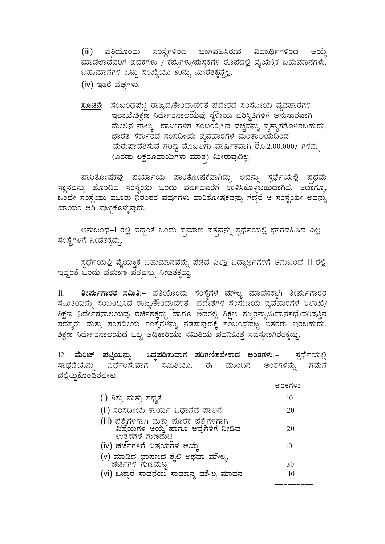(iii) ಪತಿಯೊಂದು ಸಂಸ್ಥೆಗಳಿಂದ ಭಾಗವಹಿಸಿರುವ ವಿದ್ಯಾರ್ಥಿಗಳಿಂದ ಆಯ್ತೆ ಮಾಡಲಾದವರಿಗೆ ಪದಕಗಳು / ಕಪ್ಪುಗಳು/ಮಸ್ತಕಗಳ ರೂಪದಲ್ಲಿ ವೈಯಕ್ತಿಕ ಬಹುಮಾನಗಳು. ಬಹುಮಾನಗಳ ಒಟ್ಟು ಸಂಖ್ಯೆಯು 80ನ್ನು ಮೀರತಕ್ಕದ್ದಲ್ಲ.

(iv) ಇತರೆ ವೆಚ್ಚಗಳು.

<u>ಸೂಚನೆ</u>:– ಸಂಬಂಧಪಟ್ಟ ರಾಜ್ಯದ/ಕೇಂದಾಡಳಿತ ಪದೇಶದ ಸಂಸದೀಯ ವ್ಯವಹಾರಗಳ ಇಲಾಖೆ/ಶಿಕ್ಷಣ ನಿರ್ದೇಶನಾಲಯವು ಸ್ಥಳೀಯ ಪರಿಸ್ಥಿತಿಗಳಿಗೆ ಅನುಸಾರವಾಗಿ ಮೇಲಿನ ನಾಲ್ಕು ಬಾಬುಗಳಿಗೆ ಸಂಬಂದಿಸಿದ ವೆಚ್ಚವನ್ನು ವ್ಯತ್ಯಾಸಗೊಳಿಸಬಹುದು. ಭಾರತ ಸರ್ಕಾರದ ಸಂಸದೀಯ ವ್ಯವಹಾರಗಳ ಮಂತಾಲಯದಿಂದ ಹುರುಪಾವತಿಸುವ ಗರಿಷ್ಠ ಮೊಬಲಗು ವಾರ್ಷಿಕವಾಗಿ ರೂ.2,00,000/–ಗಳನ್ನು (ಎರಡು ಲಕ್ಷರೂಪಾಯಿಗಳು ಮಾತ) ಮೀರುವುದಿಲ್ಲ.

ಪಾರಿತೋಷಕವು ಪರ್ಯಾಯ ಪಾರಿತೋಷಕವಾಗಿದ್ದು ಅದನ್ನು ಸ್ಪರ್ಧೆಯಲ್ಲಿ ಪಥಮ ಸ್ಥಾನವನ್ನು ಹೊಂದಿದ ಸಂಸ್ಥೆಯು ಒಂದು ವರ್ಷದವರೆಗೆ ಉಳಿಸಿಕೊಳ್ಳಬಹುದಾಗಿದೆ. ಆದಾಗ್ಯೂ, ಒಂದೇ ಸಂಸ್ಥೆಯು ಮೂರು ನಿರಂತರ ವರ್ಷಗಳು ಪಾರಿತೋಷಕವನ್ನು ಗೆದ್ದರೆ ಆ ಸಂಸ್ಥೆಯೇ ಅದನ್ನು ಖಾಯಂ ಆಗಿ ಇಟ್ಟುಕೊಳ್ಳುವುದು.

ಅನುಬಂಧ–I ರಲ್ಲಿ ಇದ್ದಂತೆ ಒಂದು ಪ್ರಮಾಣ ಪತ್ರವನ್ನು ಸ್ಪರ್ಧೆಯಲ್ಲಿ ಭಾಗವಹಿಸಿದ ಎಲ್ಲ ಸಂಸ್ಥೆಗಳಿಗೆ ನೀಡತಕ್ಕದ್ದು.

 $\vec{z}$ ಸ್ಪರ್ಧೆಯಲ್ಲಿ ವೈಯಕ್ತಿಕ ಬಹುಮಾನವನ್ನು ಪಡೆದ ಎಲ್ಲಾ ವಿದ್ಯಾರ್ಥಿಗಳಿಗೆ ಅನುಬಂಧ−II ರಲ್ಲಿ ados woch záme zoaty krastán.

11. **wÃ¥ÀÄðUÁgÀgÀ ¸À«Äw**:- ¥ÀçwAiÉÆAzÀÄ ¸ÀA¸ÉÜUÀ¼À ªÀiË®å ªÀiÁ¥À£ÀPÁÌV wÃ¥ÀÄðUÁgÀgÀ ಸಮಿತಿಯನ್ನು ಸಂಬಂದಿಸಿದ ರಾಜ್ಯ/ಕೇಂದಾಡಳಿತ ಪದೇಶಗಳ ಸಂಸದೀಯ ವ್ಯವಹಾರಗಳ ಇಲಾಖೆ/ <u>ಶಿಕ್ಷ</u>ಣ ನಿರ್ದೇಶನಾಲಯವು ರಚಿಸತಕ್ಕದ್ದು ಹಾಗೂ ಅದರಲ್ಲಿ ಶಿಕ್ಷಣ ತಜ್ಞರನ್ನು/ವಿಧಾನಸಭೆ/ಪರಿಷತ್ತಿನ ಸದಸ್ಯರು ಮತ್ತು ಸಂಸದೀಯ ಸಂಸ್ಥೆಗಳನ್ನು ನಡೆಸುವುದಕ್ಕೆ ಸಂಬಂಧಪಟ್ಟ ಇತರರು ಇರಬಹುದು. ಶಿಕ್ಷಣ ನಿರ್ದೇಶನಾಲಯದ ಒಬ್ಬ ಅಧಿಕಾರಿಯು ಸಮಿತಿಯ ಪದನಿಮಿತ್ತ ಸದಸ್ಯನಾಗಿರತಕ್ಕದ್ದು.

12. ಮೆರಿಟ್ ಪಟ್ಟಿಯನ್ನು ಸಿದ್ಧಪಡಿಸುವಾಗ ಪರಿಗಣಿಸಬೇಕಾದ ಅಂಶಗಳು.– ಸ್ಪರ್ಧೆಯಲ್ಲಿ ಸಾಧನೆಯನ್ನು ವರ್ಧರಿಸುವಾಗ ಸಮಿತಿಯು, ಈ ಮುಂದಿನ ಅಂಶಗಳನ್ನು ಗಮನ ದಲ್ಲಿಟ್ಟುಕೊಂಡಿರಬೇಕು.

|                                                                                                   | ಅ೧ಕಗಳ    |
|---------------------------------------------------------------------------------------------------|----------|
| (i) ಶಿಸ್ತು ಮತ್ತು ಸಭ್ಯತೆ                                                                           | 10       |
| (ii) ಸಂಸದೀಯ ಕಾರ್ಯ ವಿಧಾನದ ಪಾಲನೆ                                                                    | 20       |
| (iii) ಪಶ್ನೆಗಳಿಗಾಗಿ ಮತ್ತು ಪೂರಕ ಪಶ್ನೆಗಳಿಗಾಗಿ<br>ವಿಷಯಗಳ ಆಯ್ಕೆ ಹಾಗೂ ಅವುಗಳಿಗೆ ನೀಡಿದ<br>ಉತ್ತರಗಳ ಗುಣಮಟ್ಟ | 20       |
| (iv) ಚರ್ಚೆಗಳಿಗೆ ವಿಷಯಗಳ ಆಯ್ತೆ                                                                      | 10       |
| (v) ಮಾಡಿದ ಭಾಷಣದ ಶೈಲಿ ಅಥವಾ ಮೌಲ್ಯ.<br>ಚರ್ಚೆಗಳ ಗುಣಮಟ್ಟ<br>(vi) ಒಟ್ಟಾರೆ ಸಾಧನೆಯ ಸಾಮಾನ್ಯ ಮೌಲ್ಯ ಮಾಪನ     | 30<br>10 |
|                                                                                                   |          |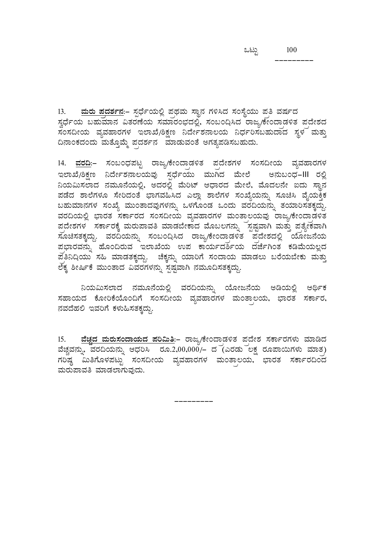---------

13. <u>ಮರು ಪದರ್ಶನ</u>:– ಸ್ಪರ್ಧೆಯಲ್ಲಿ ಪಥಮ ಸ್ಥಾನ ಗಳಿಸಿದ ಸಂಸ್ಥೆಯು ಪತಿ ವರ್ಷದ ¸ÀézsÉðAiÀÄ §ºÀĪÀiÁ£À «vÀgÀuÉAiÀÄ ¸ÀªÀiÁgÀA¨sÀzÀ°è, ¸ÀA§A¢s¹zÀ gÁdå/PÉÃAzÁçqÀ½vÀ ¥ÀçzÉñÀzÀ , ಸಂಸದೀಯ ವ್ಯವಹಾರಗಳ ಇಲಾಖೆ/ಶಿಕ್ಷಣ ನಿರ್ದೇಶನಾಲಯ ನಿರ್ಧರಿಸಬಹುದಾದ ಸ್ಥಳ ಮತ್ತು ದಿನಾಂಕದಂದು ಮತ್ತೊಮ್ಮೆ ಪದರ್ಶನ ಮಾಡುವಂತೆ ಅಗತ್ಯಪಡಿಸಬಹುದು.

14. <u>ವರದಿ</u>:– ಸಂಬಂಧಪಟ್ಟ ರಾಜ್ಯ/ಕೇಂದ್ರಾಡಳಿತ ಪ್ರದೇಶಗಳ ಸಂಸದೀಯ ವ್ಯವಹಾರಗಳ ಇಲಾಖೆ/ಶಿಕ್ಷಣ ನಿರ್ದೇಶನಾಲಯವು ಸರ್ಧೆಯು ಮುಗಿದ ಮೇಲೆ ಅನುಬಂಧ-III ರಲ್ಲಿ  $\alpha$ ನಿಯಮಿಸಲಾದ ನಮೂನೆಯಲ್ಲಿ, ಅದರಲ್ಲಿ ಮೆರಿಟ್ ಆಧಾರದ ಮೇಲೆ, ಮೊದಲನೇ ಐದು ಸ್ಥಾನ ಹಡೆದ ಶಾಲೆಗಳೂ ಸೇರಿದಂತೆ ಭಾಗವಹಿಸಿದ ಎಲ್ಲಾ ಶಾಲೆಗಳ ಸಂಖ್ಯೆಯನ್ನು ಸೂಚಿಸಿ ವೈಯಕ್ತಿಕ ಬಹುಮಾನಗಳ ಸಂಖ್ಯೆ ಮುಂತಾದವುಗಳನ್ನು ಒಳಗೊಂಡ ಒಂದು ವರದಿಯನ್ನು ತಯಾರಿಸತಕ್ಕದ್ದು. ವರದಿಯಲ್ಲಿ ಭಾರತ ಸರ್ಕಾರದ ಸಂಸದೀಯ ವ್ಯವಹಾರಗಳ ಮಂತಾಲಯವು ರಾಜ್ಯ/ಕೇಂದ್ರಾಡಳಿತ ಪ್ರದೇಶಗಳ ಸರ್ಕಾರಕ್ಕೆ ಮರುಪಾವತಿ ಮಾಡಬೇಕಾದ ಮೊಬಲಗನ್ನು ಸ್ಪಷ್ಟವಾಗಿ ಮತ್ತು ಪ್ರತ್ಯೇಕವಾಗಿ ಸೂಚಿಸತಕ್ಕದ್ದು. ವರದಿಯನ್ನು ಸಂಬಂದಿಸಿದ ರಾಜ್ಯ/ಕೇಂದ್ರಾಡಳಿತ ಪ್ರದೇಶದಲ್ಲಿ ಯೋಜನೆಯ  $\frac{1}{2}$ ಪ್ರಭಾರವನ್ನು ಹೊಂದಿರುವ ಇಲಾಖೆಯ ಉಪ ಕಾರ್ಯದರ್ಶಿಯ ದರ್ಜೆಗಿಂತ ಕಡಿಮೆಯಲ್ಲದ ಹತಿನಿದಿಯು ಸಹಿ ಮಾಡತಕ್ಕದ್ದು. ಚೆಕ್ಕನ್ನು ಯಾರಿಗೆ ಸಂದಾಯ ಮಾಡಲು ಬರೆಯಬೇಕು ಮತ್ತು ಲೆಕ್ಕ ಶೀರ್ಷಿಕೆ ಮುಂತಾದ ವಿವರಗಳನ್ನು ಸ್ಪಷ್ಟವಾಗಿ ನಮೂದಿಸತಕ್ಕದ್ದು.

ನಿಯಮಿಸಲಾದ ನಮೂನೆಯಲ್ಲಿ ವರದಿಯನ್ನು ಯೋಜನೆಯ ಅಡಿಯಲ್ಲಿ ಆರ್ಥಿಕ ಸಹಾಯದ ಕೋರಿಕೆಯೊಂದಿಗೆ ಸಂಸದೀಯ ವ್ಯವಹಾರಗಳ ಮಂತಾಲಯ, ಭಾರತ ಸರ್ಕಾರ, ನವದೆಹಲಿ ಇವರಿಗೆ ಕಳುಹಿಸತಕ್ಕದ್ದು.

15. <mark>ವೆಚ್ಚದ ಮರುಸಂದಾಯದ ಪರಿಮಿತಿ</mark>:– ರಾಜ್ಯ/ಕೇಂದಾಡಳಿತ ಪದೇಶ ಸರ್ಕಾರಗಳು ಮಾಡಿದ ವೆಚ್ಚವನ್ನು, ವರದಿಯನ್ನು ಆಧರಿಸಿ ರೂ.2,00,000/– ದ (ಎರಡು ಲಕ್ಷ ರೂಪಾಯಿಗಳು ಮಾತ) ಗರಿಷ್ಠ ಮಿತಿಗೊಳಪಟ್ಟು ಸಂಸದೀಯ ವ್ಯವಹಾರಗಳ ಮಂತಾಲಯ, ಭಾರತ ಸರ್ಕಾರದಿಂದ ಮರುಪಾವತಿ ಮಾಡಲಾಗುವುದು.

---------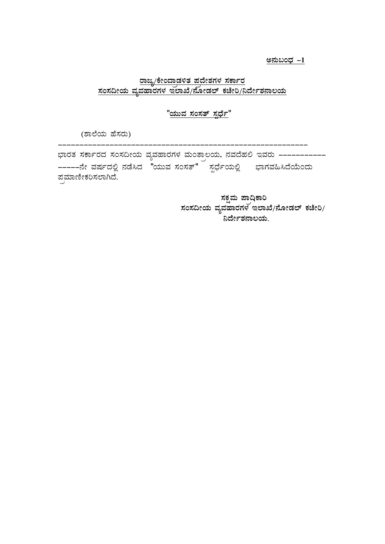ಅನುಬಂಧ –1

# <u>ರಾಜ್ಯ/ಕೇಂದಾಡಳಿತ ಪ್ರದೇಶಗಳ ಸರ್ಕಾರ</u> <u>ಸಂಸದೀಯ ವ್ಯವಹಾರಗಳ ಇಲಾಖೆ/ನೋಡಲ್ ಕಚೇರಿ/ನಿರ್ದೇಶನಾಲಯ</u>

<u>"ಯುವ ಸಂಸತ್ ಸ್ಪರ್ಧೆ"</u>

(ಶಾಲೆಯ ಹೆಸರು)

---------------------------------------------------------- ಭಾರತ ಸರ್ಕಾರದ ಸಂಸದೀಯ ವ್ಯವಹಾರಗಳ ಮಂತ್ರಾಲಯ, ನವದೆಹಲಿ ಇವರು ------------------£Éà ªÀµÀðzÀ°è £ÀqɹzÀ "AiÀÄĪÀ ¸ÀA¸Àvï" ¸ÀàzsÉðAiÀÄ°è ¨sÁUÀªÀ»¹zÉAiÉÄAzÀÄ ಪಮಾಣೀಕರಿಸಲಾಗಿದೆ.

ಿ ಶಾಸ್ತ್ರಮ ಪ್ರಾಧಿಕಾರಿ<br>ನಕ್ಷಮ ಪ್ರಾಧಿಕಾರಿ <u>ಸಂಸದೀಯ ವ್ಯವಹಾರಗಳ ಇಲಾಖೆ/ನೋಡಲ್ ಕಚೇರಿ/</u> <sub>.</sub><br> ನಿರ್ದೇಶನಾಲಯ.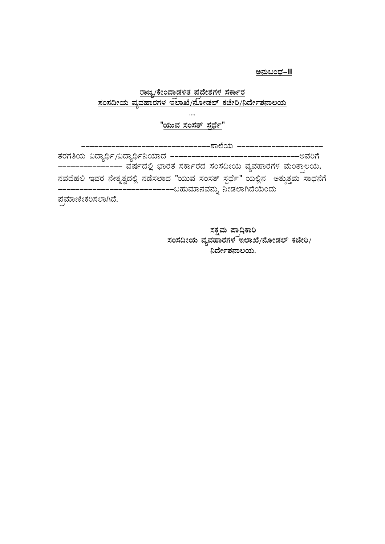<u>ಅನುಬಂಧ–II</u>

# <u>ರಾಜ್ಯ/ಕೇಂದಾಡಳಿತ ಪ್ರದೇಶಗಳ ಸರ್ಕಾರ</u> <u>ಸಂಸದೀಯ ವ್ಯವಹಾರಗಳ ಇಲಾಖೆ/ನೋಡಲ್ ಕಚೇರಿ/ನಿರ್ದೇಶನಾಲಯ</u>

**....**  <u>"ಯುವ ಸಂಸತ್ ಸ್ಪರ್ಧೆ"</u>

| ತರಗತಿಯ ವಿದ್ಯಾರ್ಥಿ/ವಿದ್ಯಾರ್ಥಿನಿಯಾದ -----------------------------------ಅವರಿಗೆ    |  |  |  |  |
|--------------------------------------------------------------------------------|--|--|--|--|
| --------------- ವರ್ಷದಲ್ಲಿ ಭಾರತ ಸರ್ಕಾರದ ಸಂಸದೀಯ ವ್ಯವಹಾರಗಳ ಮಂತಾಲಯ,                |  |  |  |  |
| ನವದೆಹಲಿ ಇವರ ನೇತೃತ್ವದಲ್ಲಿ ನಡೆಸಲಾದ "ಯುವ ಸಂಸತ್ ಸ್ಪರ್ಧೆ" ಯಲ್ಲಿನ  ಅತ್ಯುತ್ತಮ ಸಾಧನೆಗೆ |  |  |  |  |
| –––––––––––ಬಹುಮಾನವನ್ನು ನೀಡಲಾಗಿದೆಯೆಂದು                                          |  |  |  |  |
| ಪಮಾಣೀಕರಿಸಲಾಗಿದೆ.                                                               |  |  |  |  |

 **¸ÀPÀëªÀÄ ¥Áç¢sPÁj**  ಸಂಸದೀಯ ವ್ಯವಹಾರಗಳ ಇಲಾಖೆ**/ನೋಡಲ್ ಕಚೇರಿ**/ <u>ನಿರ್ದೇಶನಾಲಯ.</u>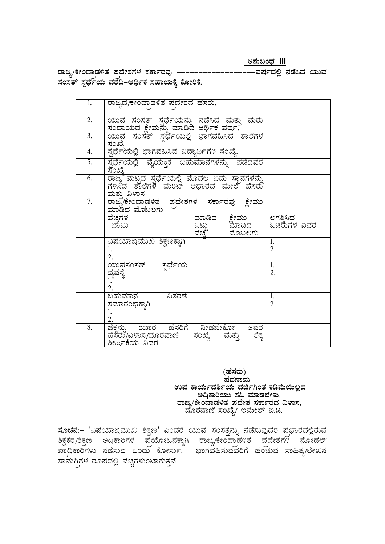**C£ÀħAzsÀ-III** 

ರಾಜ್ಯ/ಕೇಂದಾಡಳಿತ ಪದೇಶಗಳ ಸರ್ಕಾರವು --------------------ವರ್ಷದಲ್ಲಿ ನಡೆಸಿದ ಯುವ ಸಂಸತ್ ಸ್ಪರ್ಧೆಯ ವರದಿ–ಆರ್ಥಿಕ ಸಹಾಯಕ್ಕೆ ಕೋರಿಕೆ.

| 1.               | ರಾಜ್ಯದ/ಕೇಂದಾಡಳಿತ ಪದೇಶದ ಹೆಸರು.                                                  |                         |                           |                         |
|------------------|--------------------------------------------------------------------------------|-------------------------|---------------------------|-------------------------|
| 2.               | ಯುವ ಸಂಸತ್ ಸ್ಪರ್ಧೆಯನ್ನು ನಡೆಸಿದ ಮತ್ತು ಮರು<br>ಸಂದಾಯದ ಕ್ಷೇಮನ್ನು ಮಾಡಿದ ಆರ್ಥಿಕ ವರ್ಷ. |                         |                           |                         |
| $\overline{3}$ . | ಯುವ ಸಂಸತ್ ಸ್ಪರ್ಧೆಯಲ್ಲಿ ಭಾಗವಹಿಸಿದ ಶಾಲೆಗಳ<br>ಸಂಖೆ.                               |                         |                           |                         |
| 4.               | ಸ್ಪರ್ಧೆಯಲ್ಲಿ ಭಾಗವಹಿಸಿದ ವಿದ್ಯಾರ್ಥಿಗಳ ಸಂಖ್ಯೆ.                                    |                         |                           |                         |
| 5.               | <u>ಸ್ಪರ್ಧೆಯಲ್ಲಿ ವೈಯಕ್ತಿಕ ಬಹುಮಾನಗಳನ್ನು ಪಡೆದವರ</u>                               |                         |                           |                         |
| $\overline{6}$ . | ಮತು ವಿಳಾಸ                                                                      |                         |                           |                         |
| 7.               | ರಾಜ್ಯ/ಕೇಂದಾಡಳಿತ ಪದೇಶಗಳ ಸರ್ಕಾರವು ಕ್ಷೇಮು<br>ಮಾಡಿದ ಮೆಠಬಲಗು                        |                         |                           |                         |
|                  | ವೆಚಗಳ<br>ಬಾಬು                                                                  | ಮಾಡಿದ<br>ಒಟ್ರು<br>ವೆಚ್ಚ | ಕ್ಷೇಮು<br>ಮಾಡಿದ<br>ಮೊಬಲಗು | ಲಗತಿಸಿದ<br>ಓಚರುೆಗಳ ವಿವರ |
|                  | ವಿಷಯಾಬ್ತಿಮುಖ ಶಿಕ್ಷಣಕ್ಕಾಗಿ<br>1.<br>2.                                          |                         |                           | 1.<br>2.                |
|                  | ಯುವಸಂಸತ್<br>ಸರ್ಧೆಯ<br>ವ್ಯವಸ್ಥೆ<br>1.<br>2.                                     |                         |                           | 1.<br>2.                |
|                  | ಬಹುಮಾನ<br>ವಿತರಣೆ<br>ಸಮಾರಂಭಕ್ತಾಗಿ<br>1.<br>2.                                   |                         |                           | 1.<br>2.                |
| 8.               | ಚೆಕ್ಕನ್ನು ಯಾರ ಹೆಸರಿಗೆ ನೀಡಬೇಕೋ<br>ಹೆಸೆರು/ವಿಳಾಸ/ದೂರವಾಣಿ<br>ಶೀರ್ಷಿಕೆಯ ವಿವರ.       | ಸಂಖ್ಯೆ                  | ಅವರ<br>ಲೆಕ್ಕ<br>ಮತ್ತು     |                         |

 **(ºÉ¸ÀgÀÄ) ¥ÀzÀ£ÁªÀÄ** ಉಪ ಕಾರ್ಯದರ್ಶಿಯ ದರ್ಜೆಗಿಂತ ಕಡಿಮೆಯಿಲ್ಲದ<br>ಅದಿಕಾರಿಯು ಸಹಿ ಮಾಡಬೇಕು<br>ರಾಜ್ನ/ಕೇಂದಾಡಳಿತ ಪದೇಶ ಸರ್ಕಾರದ ವಿಳಾಸ,  $\vec{a}$ ೂರವಾಣಿ ಸಂಖ್ಯೆ∕ ಇಮೇಲ್ ಐ.ಡಿ.

<mark>ಸೂಚನೆ</mark>:– 'ವಿಷಯಾಬಿಮುಖ ಶಿಕ್ಷಣ' ಎಂದರೆ ಯುವ ಸಂಸತ್ತನ್ನು ನಡೆಸುವುದರ ಪ್ರಭಾರದಲ್ಲಿರುವ ಶಿಕ್ಷಕರ/ಶಿಕ್ಷಣ ಅದ್ತಿಕಾರಿಗಳ ಪ್ರಯೋಜನಕ್ಕಾಗಿ ರಾಜ್ಯ/ಕೇಂದ್ರಾಡಳಿತ ಪ್ರದೇಶಗಳ ನೋಡಲ್ ಪಾದಿಕಾರಿಗಳು ನಡೆಸುವ ಒಂದು ಕೋರ್ಸು. ಭಾಗವಹಿಸುವವರಿಗೆ ಹಂಚುವ ಸಾಹಿತ್ಯ/ಲೇಖನ ಸಾಮಗಿಗಳ ರೂಪದಲ್ಲಿ ವೆಚ್ಚಗಳುಂಟಾಗುತ್ತವೆ.